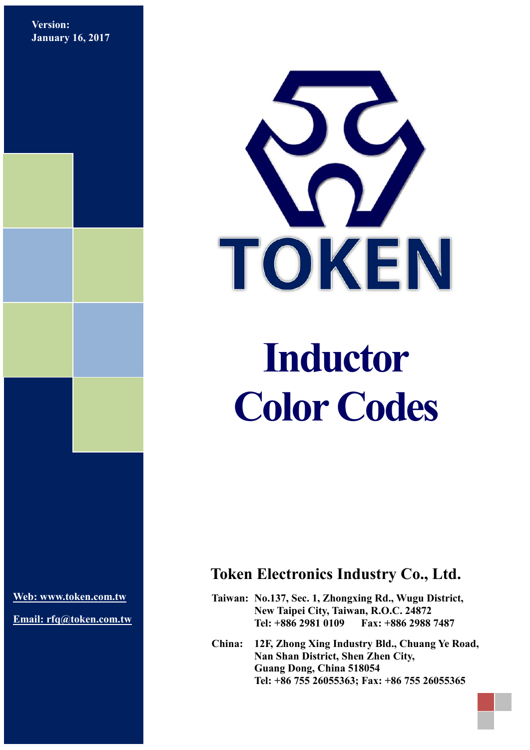**Version: January 16, 2017**



# **Inductor Color Codes**

**[Web: www.token.com.tw](http://www.token.com.tw/)**

**Email: rfq@token.com.tw**

## **Token Electronics Industry Co., Ltd.**

**Taiwan: No.137, Sec. 1, Zhongxing Rd., Wugu District, New Taipei City, Taiwan, R.O.C. 24872 Tel: +886 2981 0109 Fax: +886 2988 7487**

**China: 12F, Zhong Xing Industry Bld., Chuang Ye Road, Nan Shan District, Shen Zhen City, Guang Dong, China 518054 Tel: +86 755 26055363; Fax: +86 755 26055365**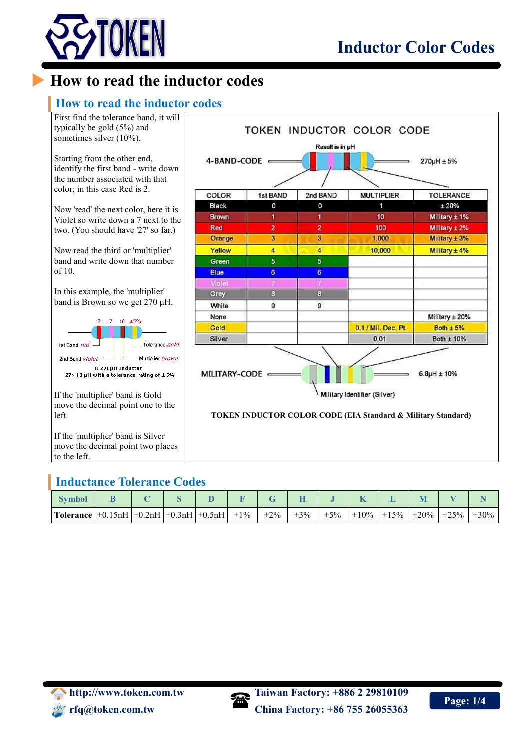

## **How to read the inductor codes**

#### **How to read the inductor codes**



#### **Inductance Tolerance Codes**

| <b>Symbol</b>                                                  |  |  |           |           |           |           |            |            |            |            |            |
|----------------------------------------------------------------|--|--|-----------|-----------|-----------|-----------|------------|------------|------------|------------|------------|
| Tolerance $\pm 0.15$ nH $\pm 0.2$ nH $\pm 0.3$ nH $\pm 0.5$ nH |  |  | $\pm 1\%$ | $\pm 2\%$ | $\pm 3\%$ | $\pm 5\%$ | $\pm 10\%$ | $\pm 15\%$ | $\pm 20\%$ | $\pm 25\%$ | $\pm 30\%$ |

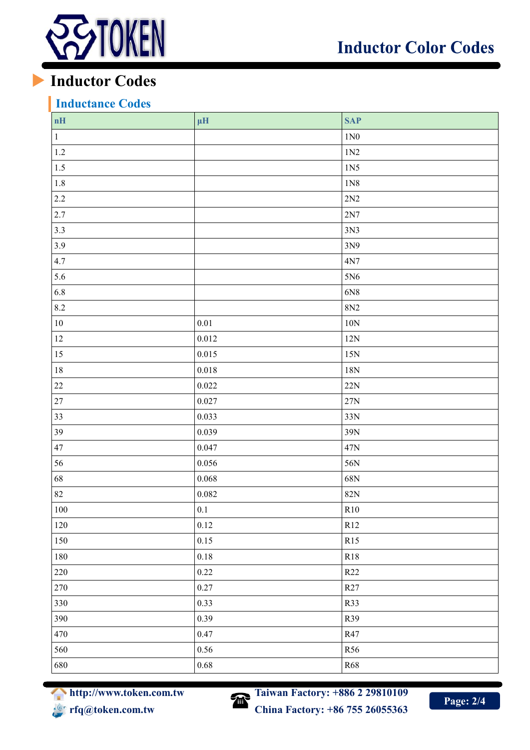

## **Inductor Codes**

### **Inductance Codes**

| $\mathbf{n} \mathbf{H}$ | $\mu H$   | <b>SAP</b>      |
|-------------------------|-----------|-----------------|
| $\,1$                   |           | $1N0$           |
| 1.2                     |           | 1N2             |
| 1.5                     |           | 1N5             |
| $1.8\,$                 |           | 1N8             |
| 2.2                     |           | $2\mathrm{N}2$  |
| 2.7                     |           | $2N7$           |
| 3.3                     |           | 3N3             |
| 3.9                     |           | 3N9             |
| 4.7                     |           | 4N7             |
| 5.6                     |           | 5N6             |
| $6.8\,$                 |           | 6N8             |
| 8.2                     |           | 8N <sub>2</sub> |
| $10\,$                  | $0.01\,$  | $10N$           |
| $12\,$                  | 0.012     | 12N             |
| 15                      | 0.015     | 15N             |
| $18\,$                  | $0.018\,$ | $18\mathrm{N}$  |
| $22\,$                  | 0.022     | 22N             |
| $27\,$                  | 0.027     | $27\mathrm{N}$  |
| 33                      | 0.033     | 33N             |
| 39                      | 0.039     | 39N             |
| $47\,$                  | 0.047     | 47N             |
| 56                      | 0.056     | 56N             |
| 68                      | 0.068     | 68N             |
| $82\,$                  | 0.082     | 82N             |
| $100\,$                 | 0.1       | R10             |
| 120                     | 0.12      | R12             |
| 150                     | 0.15      | R15             |
| 180                     | $0.18\,$  | R18             |
| $220\,$                 | $0.22\,$  | R22             |
| 270                     | 0.27      | R27             |
| 330                     | 0.33      | R33             |
| 390                     | 0.39      | R39             |
| 470                     | 0.47      | R47             |
| 560                     | 0.56      | R56             |
| 680                     | $0.68\,$  | R68             |

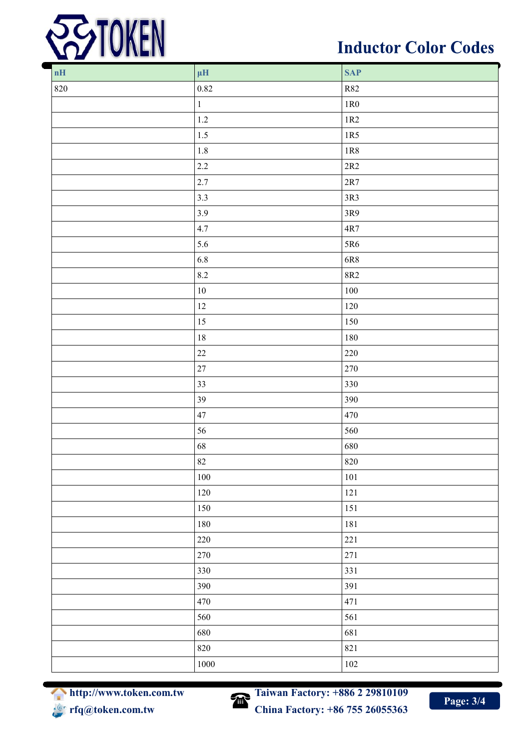

# **Inductor Color Codes**

| $\mathbf{n} \mathbf{H}$ | $\mu\mathrm{H}$ | <b>SAP</b>     |
|-------------------------|-----------------|----------------|
| $820\,$                 | $0.82\,$        | <b>R82</b>     |
|                         | $\mathbf 1$     | $1{\rm R0}$    |
|                         | $1.2\,$         | $1\mathrm{R}2$ |
|                         | $1.5\,$         | $1R5$          |
|                         | $1.8\,$         | $1\mathrm{R}8$ |
|                         | $2.2\,$         | 2R2            |
|                         | $2.7\,$         | $2R7$          |
|                         | 3.3             | $3R3$          |
|                         | 3.9             | 3R9            |
|                         | 4.7             | $4R7$          |
|                         | 5.6             | 5R6            |
|                         | $6.8\,$         | $6R8$          |
|                         | $8.2\,$         | 8R2            |
|                         | $10\,$          | $100\,$        |
|                         | $12 \,$         | $120\,$        |
|                         | $15\,$          | $150\,$        |
|                         | $18\,$          | $180\,$        |
|                         | $22\,$          | 220            |
|                         | $27\,$          | 270            |
|                         | 33              | 330            |
|                         | 39              | 390            |
|                         | 47              | 470            |
|                         | 56              | 560            |
|                         | 68              | 680            |
|                         | $82\,$          | 820            |
|                         | $100\,$         | $101\,$        |
|                         | $120\,$         | $121\,$        |
|                         | 150             | 151            |
|                         | $180\,$         | 181            |
|                         | 220             | 221            |
|                         | 270             | $271\,$        |
|                         | 330             | 331            |
|                         | 390             | 391            |
|                         | 470             | 471            |
|                         | 560             | 561            |
|                         | 680             | 681            |
|                         | 820             | 821            |
|                         | 1000            | $102\,$        |